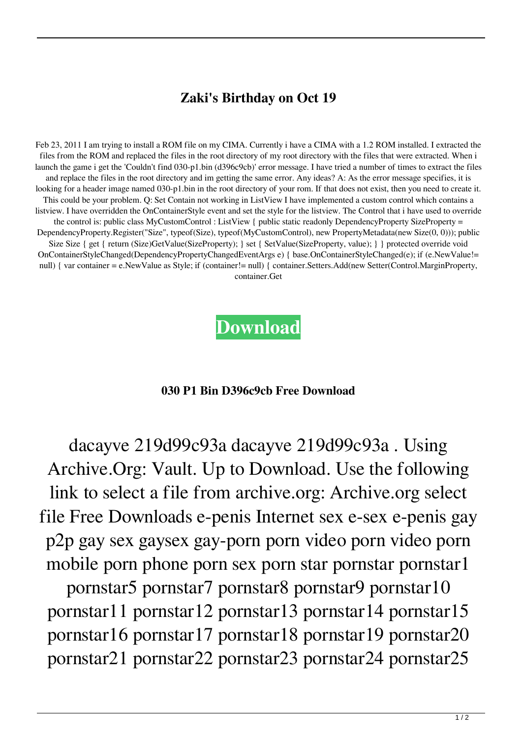## **Zaki's Birthday on Oct 19**

Feb 23, 2011 I am trying to install a ROM file on my CIMA. Currently i have a CIMA with a 1.2 ROM installed. I extracted the files from the ROM and replaced the files in the root directory of my root directory with the files that were extracted. When i launch the game i get the 'Couldn't find 030-p1.bin (d396c9cb)' error message. I have tried a number of times to extract the files and replace the files in the root directory and im getting the same error. Any ideas? A: As the error message specifies, it is looking for a header image named 030-p1.bin in the root directory of your rom. If that does not exist, then you need to create it. This could be your problem. Q: Set Contain not working in ListView I have implemented a custom control which contains a listview. I have overridden the OnContainerStyle event and set the style for the listview. The Control that i have used to override the control is: public class MyCustomControl : ListView { public static readonly DependencyProperty SizeProperty = DependencyProperty.Register("Size", typeof(Size), typeof(MyCustomControl), new PropertyMetadata(new Size(0, 0))); public Size Size { get { return (Size)GetValue(SizeProperty); } set { SetValue(SizeProperty, value); } } protected override void OnContainerStyleChanged(DependencyPropertyChangedEventArgs e) { base.OnContainerStyleChanged(e); if (e.NewValue!= null) { var container = e.NewValue as Style; if (container!= null) { container.Setters.Add(new Setter(Control.MarginProperty, container.Get

**[Download](http://evacdir.com/armholes.allspywarefree?ZG93bmxvYWR8NVZxT1RneGQzeDhNVFkxTlRnME1qazRNWHg4TWpVNU1IeDhLRTBwSUZkdmNtUndjbVZ6Y3lCYldFMU1VbEJESUZZeUlGQkVSbDA=breather.campground.goldilocks.harms&MDMwIHAxIGJpbiBkMzk2YzljYiBmcmVlIGRvd25sb2FkMDM=masato)**

## **030 P1 Bin D396c9cb Free Download**

dacayve 219d99c93a dacayve 219d99c93a . Using Archive.Org: Vault. Up to Download. Use the following link to select a file from archive.org: Archive.org select file Free Downloads e-penis Internet sex e-sex e-penis gay p2p gay sex gaysex gay-porn porn video porn video porn mobile porn phone porn sex porn star pornstar pornstar1

pornstar5 pornstar7 pornstar8 pornstar9 pornstar10 pornstar11 pornstar12 pornstar13 pornstar14 pornstar15 pornstar16 pornstar17 pornstar18 pornstar19 pornstar20 pornstar21 pornstar22 pornstar23 pornstar24 pornstar25